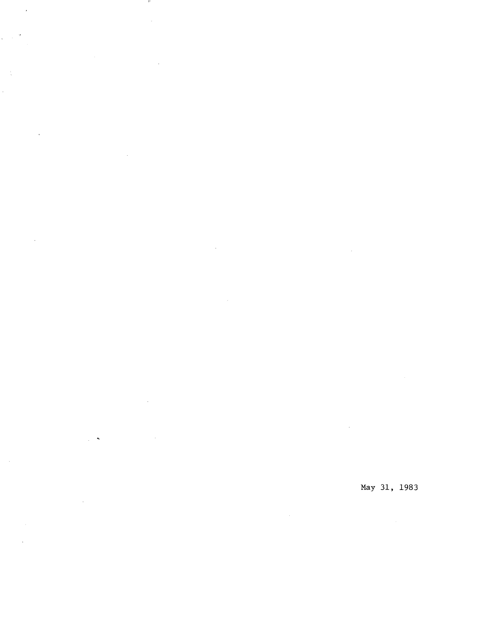May 31, 1983

 $\hat{\mathcal{L}}_{\text{max}}$  ,  $\hat{\mathcal{L}}_{\text{max}}$ 

 $\sim 10^{11}$ 

and the

 $\sim 10^7$ 

 $\sim 100$ 

 $\mathcal{L}^{\text{max}}_{\text{max}}$  and  $\mathcal{L}^{\text{max}}_{\text{max}}$ 

 $\sim 10^7$ 

 $\mathcal{L}^{\text{max}}_{\text{max}}$  and  $\mathcal{L}^{\text{max}}_{\text{max}}$ 

 $\mathcal{L}_{\text{max}}$  and  $\mathcal{L}_{\text{max}}$ 

 $\mathcal{L}^{\text{max}}_{\text{max}}$  and  $\mathcal{L}^{\text{max}}_{\text{max}}$  and  $\mathcal{L}^{\text{max}}_{\text{max}}$ 

 $\mathcal{L}^{\mathcal{L}}$  .

 $\mathcal{L}^{\text{max}}_{\text{max}}$  and  $\mathcal{L}^{\text{max}}_{\text{max}}$ 

 $\mathcal{A}$ 

 $\bar{\beta}$ 

 $\sim 10^{-11}$ 

 $\sim$   $\sim$ 

 $\bar{z}$ 

 $\frac{1}{\sqrt{2}}$  ,  $\frac{1}{\sqrt{2}}$ 

 $\frac{1}{\sqrt{2}}$ 

 $\hat{\mathcal{L}}$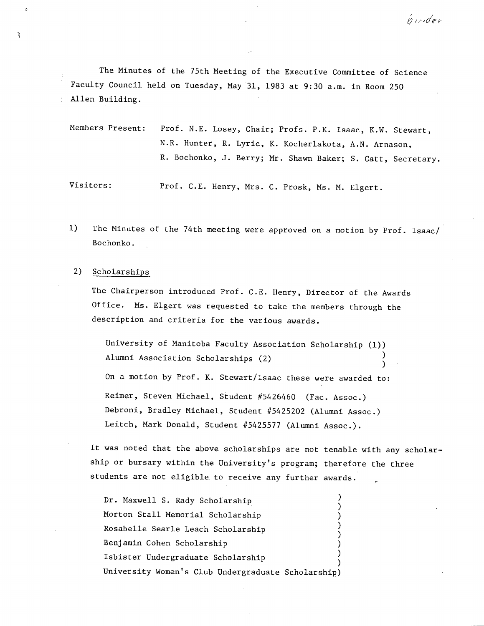The Minutes of the 75th Meeting of the Executive Committee of Science Faculty Council held on Tuesday, May 31, 1983 at 9:30 a.m. in Room 250 Allen Building.

Members Present: Prof. N.E. Losey, Chair; Profs. P.K. Isaac, K.W. Stewart, N.R. Hunter, R. Lyric, K. Kocherlakota, A.N. Arnason, R. Bochonko, J. Berry; Mr. Shawn Baker; S. Catt, Secretary.

Visitors: Prof. C.E. Henry, Mrs. C. Prosk, Ms. N. Elgert.

1) The Minutes of the 74th meeting were approved on a motion by Prof. Isaac/ Bochonko.

### 2) Scholarships

Å

The Chairperson introduced Prof. C.E. Henry, Director of the Awards Office. Ms. Elgert was requested to take the members through the description and criteria for the various awards.

University of Manitoba Faculty Association Scholarship (1)) Alumni Association Scholarships (2) On a motion by Prof. K. Stewart/Isaac these were awarded to: Reimer, Steven Michael, Student #5426460 (Fac. Assoc.) Debroni, Bradley Michael, Student #5425202 (Alumni Assoc.) Leitch, Mark Donald, Student #5425577 (Alumni Assoc.).

It was noted that the above scholarships are not tenable with any scholarship or bursary within the University's program; therefore the three students are not eligible, to receive any further awards.

 $\lambda$ Dr. Maxwell S. Rady Scholarship Morton Stall Memorial Scholarship (1999) Rosabelle Searle Leach Scholarship Benjamin Cohen Scholarship ) Isbister Undergraduate Scholarship University Women's Club Undergraduate Scholarship)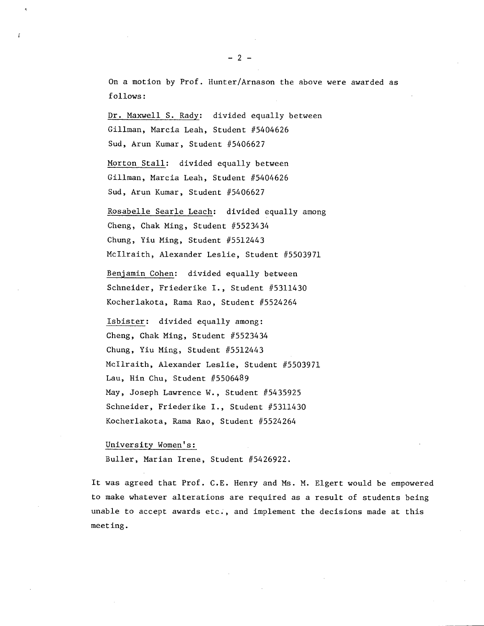On a motion by Prof. Hunter/Arnason the above were awarded as follows:

Dr. Maxwell S. Rady: divided equally between Giliman, Marcia Leah, Student #5404626 Sud, Arun Kumar, Student #5406627

Morton Stall: divided equally between Giliman, Marcia Leah, Student #5404626 Sud, Arun Kumar, Student #5406627

Rosabelle Searle Leach: divided equally among Cheng, Chak Ming, Student #5523434 Chung, Yiu Ming, Student #5512443 Mcllraith, Alexander Leslie, Student #5503971

Benjamin Cohen: divided equally between Schneider, Friederike I., Student #5311430 Kocherlakota, Rama Rao, Student #5524264

Isbister: divided equally among: Cheng, Chak Ming, Student #5523434 Chung, Yiu Ming, Student #5512443 Mcllraith, Alexander Leslie, Student #5503971 Lau, Hin Chu, Student #5506489 May, Joseph Lawrence W., Student #5435925 Schneider, Friederike I.., Student #5311430 Kocherlakota, Rama Rao, Student #5524264

University Women's:

Buller, Marian Irene, Student #5426922.

It was agreed that Prof. C.E. Henry and Ms. M. Elgert would be empowered to make whatever alterations are required as a result of students being unable to accept awards etc., and implement the decisions made at this meeting.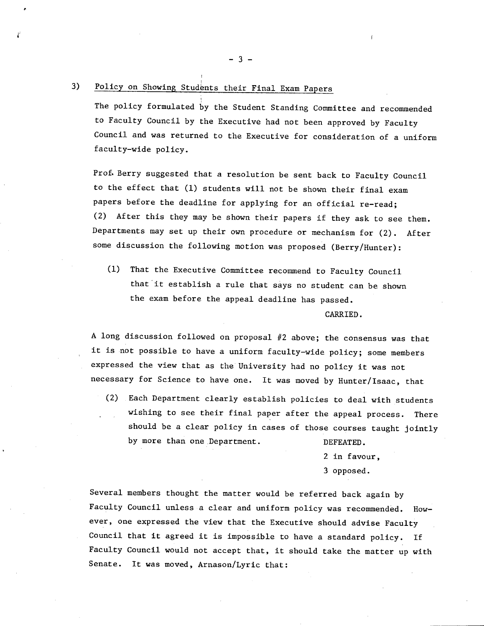# 3) Policy on Showing Students their Final Exam Papers

The policy formulated by the Student Standing Committee and recommended to Faculty Council by the Executive had not been approved by Faculty Council and was returned to the Executive for consideration of a uniform faculty-wide policy.

Prof. Berry suggested that a resolution be sent back to Faculty Council to the effect that (1) students will not be shown their final exam papers before the deadline for applying for an official re-read; (2) After this they may be shown their papers if they ask to see them. Departments may set up their own procedure or mechanism for (2). After some discussion the following motion was proposed (Berry/Hunter):

(1) That the Executive Committee recommend to Faculty Council that it establish a rule that says no student can be shown the exam before the appeal deadline has passed.

CARRIED.

A long discussion followed on proposal #2 above; the consensus was that it is not possible to have a uniform faculty-wide policy; some members expressed the view that as the University had no policy it was not necessary for Science to have one. It was moved by Hunter/Isaac, that

Each Department clearly establish policies to deal with students wishing to see their final paper after the appeal process. There should be a clear policy in cases of those courses taught jointly by more than one Department. DEFEATED.

2 in favour,

3 opposed.

Several members thought the matter would be referred back again by Faculty Council unless a clear and uniform policy was recommended. However, one expressed the view that the Executive should advise Faculty Council that it agreed it is impossible to have a standard policy. If Faculty Council would not accept that, it should take the matter up with Senate. It was moved, Arnason/Lyric that:

-3-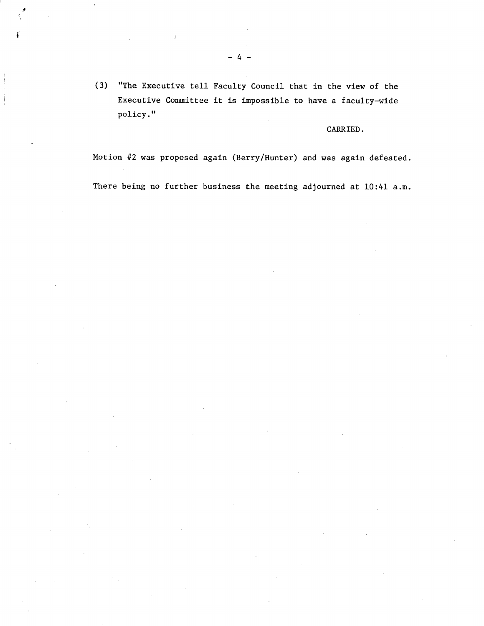(3) "The Executive tell Faculty Council that in the view of the Executive Committee it is impossible to have a faculty-wide policy."

## CARRIED.

Motion #2 was proposed again (Berry/Hunter) and was again defeated.

There being no further business the meeting adjourned at 10:41 a.m.

 $\mathbf{I}$ 

 $\frac{1}{2}$  $\mathbf{i}$